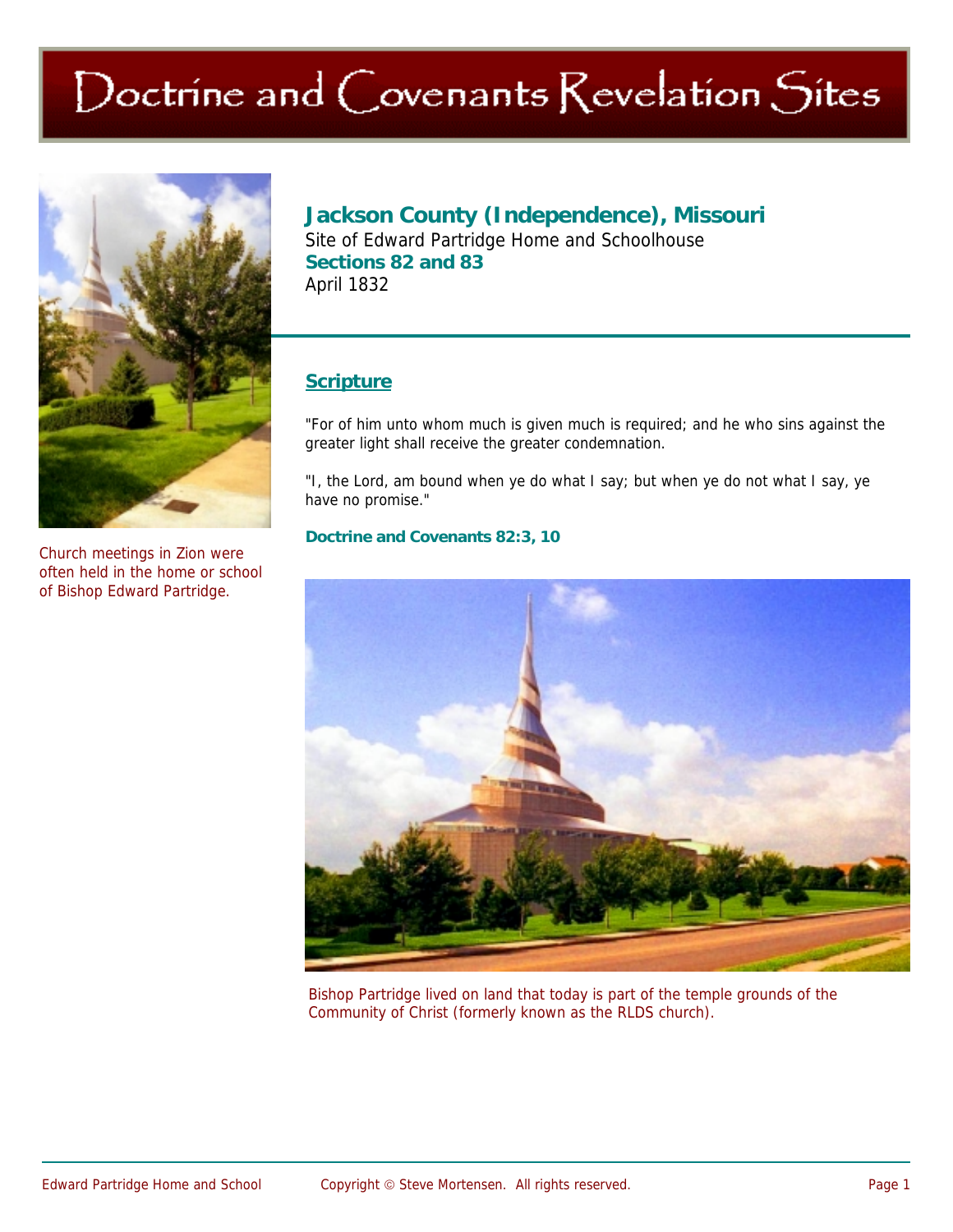# Doctrine and Covenants Revelation Sites



Church meetings in Zion were often held in the home or school of Bishop Edward Partridge.

## **Jackson County (Independence), Missouri**

Site of Edward Partridge Home and Schoolhouse **Sections 82 and 83**  April 1832

### **Scripture**

"For of him unto whom much is given much is required; and he who sins against the greater light shall receive the greater condemnation.

"I, the Lord, am bound when ye do what I say; but when ye do not what I say, ye have no promise."

#### **Doctrine and Covenants 82:3, 10**



Bishop Partridge lived on land that today is part of the temple grounds of the Community of Christ (formerly known as the RLDS church).